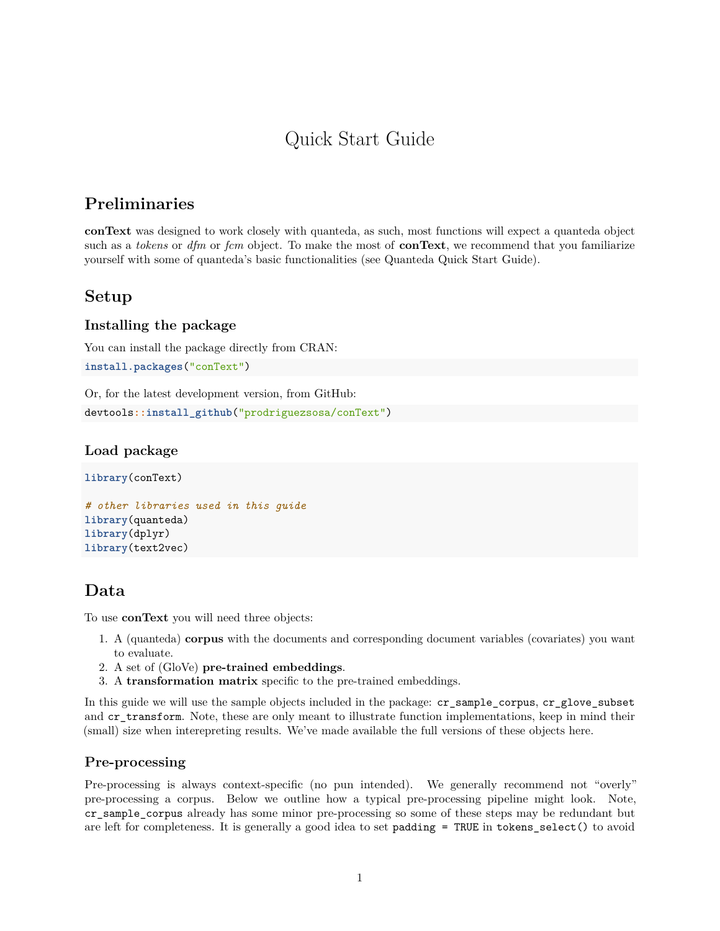# Quick Start Guide

# **Preliminaries**

**conText** was designed to work closely with [quanteda,](https://quanteda.io) as such, most functions will expect a quanteda object such as a *tokens* or *dfm* or *fcm* object. To make the most of **conText**, we recommend that you familiarize yourself with some of quanteda's basic functionalities (see [Quanteda Quick Start Guide\)](https://quanteda.io/articles/quickstart.html).

# **Setup**

## **Installing the package**

You can install the package directly from CRAN:

```
install.packages("conText")
```

```
Or, for the latest development version, from GitHub:
devtools::install_github("prodriguezsosa/conText")
```
# **Load package**

```
library(conText)
```

```
# other libraries used in this guide
library(quanteda)
library(dplyr)
library(text2vec)
```
# **Data**

To use **conText** you will need three objects:

- 1. A (quanteda) **corpus** with the documents and corresponding document variables (covariates) you want to evaluate.
- 2. A set of (GloVe) **pre-trained embeddings**.
- 3. A **transformation matrix** specific to the pre-trained embeddings.

In this guide we will use the sample objects included in the package: cr\_sample\_corpus, cr\_glove\_subset and cr\_transform. Note, these are only meant to illustrate function implementations, keep in mind their (small) size when interepreting results. We've made available the full versions of these objects [here.](https://www.dropbox.com/sh/6dfr3i6no6nzvm0/AADqk6HFTvZJGNyu3FuO62kGa?dl=0)

# **Pre-processing**

Pre-processing is always context-specific (no pun intended). We generally recommend not "overly" pre-processing a corpus. Below we outline how a typical pre-processing pipeline might look. Note, cr\_sample\_corpus already has some minor pre-processing so some of these steps may be redundant but are left for completeness. It is generally a good idea to set padding = TRUE in tokens\_select() to avoid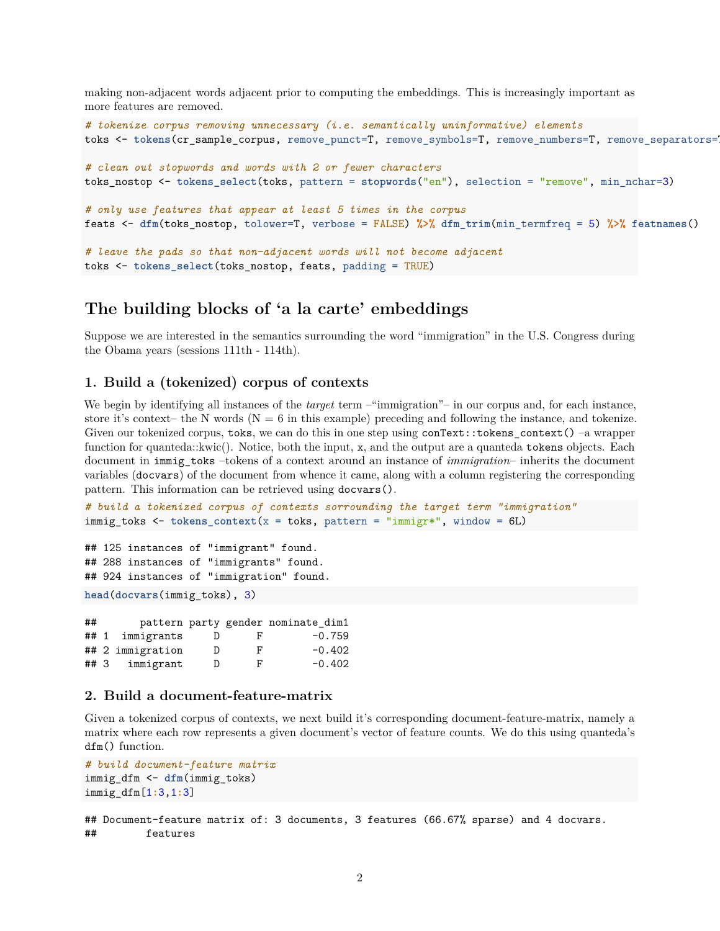making non-adjacent words adjacent prior to computing the embeddings. This is increasingly important as more features are removed.

```
# tokenize corpus removing unnecessary (i.e. semantically uninformative) elements
toks <- tokens (cr sample corpus, remove punct=T, remove symbols=T, remove numbers=T, remove separators=
# clean out stopwords and words with 2 or fewer characters
toks_nostop <- tokens_select(toks, pattern = stopwords("en"), selection = "remove", min_nchar=3)
# only use features that appear at least 5 times in the corpus
feats <- dfm(toks_nostop, tolower=T, verbose = FALSE) %>% dfm_trim(min_termfreq = 5) %>% featnames()
# leave the pads so that non-adjacent words will not become adjacent
toks <- tokens_select(toks_nostop, feats, padding = TRUE)
```
# **The building blocks of 'a la carte' embeddings**

Suppose we are interested in the semantics surrounding the word "immigration" in the U.S. Congress during the Obama years (sessions 111th - 114th).

# **1. Build a (tokenized) corpus of contexts**

We begin by identifying all instances of the *target* term –"immigration"– in our corpus and, for each instance, store it's context– the N words ( $N = 6$  in this example) preceding and following the instance, and tokenize. Given our tokenized corpus, toks, we can do this in one step using conText::tokens\_context() –a wrapper function for quanteda::kwic(). Notice, both the input, x, and the output are a quanteda tokens objects. Each document in immig\_toks –tokens of a context around an instance of *immigration*– inherits the document variables (docvars) of the document from whence it came, along with a column registering the corresponding pattern. This information can be retrieved using docvars().

```
# build a tokenized corpus of contexts sorrounding the target term "immigration"
immig_toks <- tokens_context(x = toks, pattern = "immigr*", window = 6L)
```

```
## 125 instances of "immigrant" found.
## 288 instances of "immigrants" found.
## 924 instances of "immigration" found.
head(docvars(immig_toks), 3)
```

| ## |                  |   |    | pattern party gender nominate_dim1 |
|----|------------------|---|----|------------------------------------|
|    | ## 1 immigrants  |   | н. | $-0.759$                           |
|    | ## 2 immigration | Ð | F  | $-0.402$                           |
|    | ## 3 immigrant   | Ð | F  | $-0.402$                           |

### **2. Build a document-feature-matrix**

Given a tokenized corpus of contexts, we next build it's corresponding document-feature-matrix, namely a matrix where each row represents a given document's vector of feature counts. We do this using quanteda's dfm() function.

```
# build document-feature matrix
immig_dfm <- dfm(immig_toks)
immig_dfm[1:3,1:3]
```
## Document-feature matrix of: 3 documents, 3 features (66.67% sparse) and 4 docvars. ## features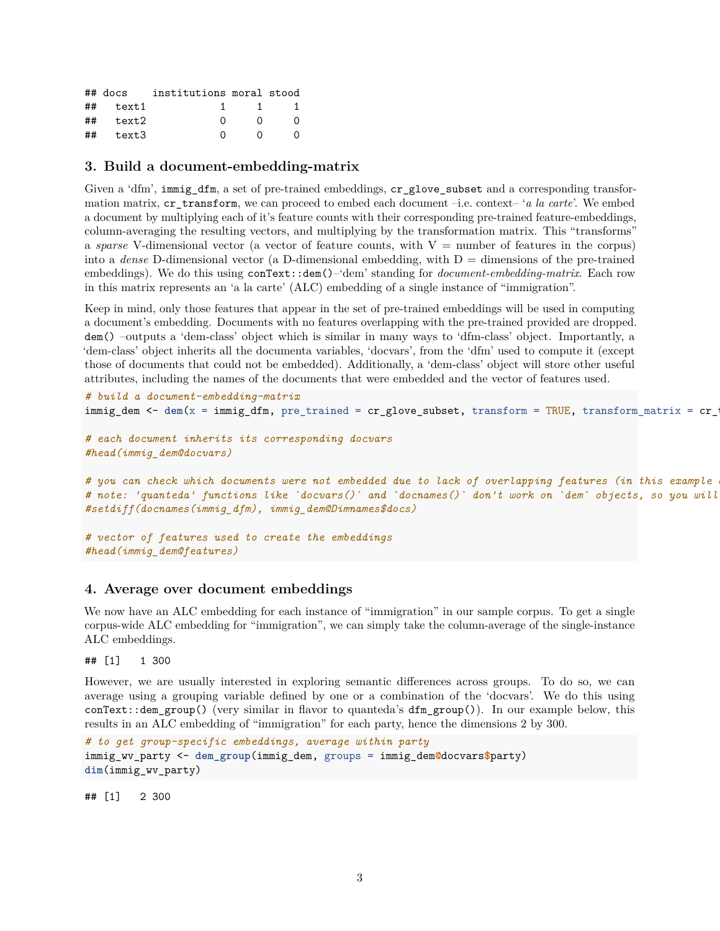|    |              | ## docs institutions moral stood |          |  |
|----|--------------|----------------------------------|----------|--|
|    | $\#$ # text1 | 1.                               | $\sim$ 1 |  |
| ## | t.ext.2      | <sup>n</sup>                     | $\Omega$ |  |
| ## | text3        | ∩.                               | $\Omega$ |  |

### **3. Build a document-embedding-matrix**

Given a 'dfm', immig\_dfm, a set of pre-trained embeddings,  $cr_g$ love\_subset and a corresponding transformation matrix, cr\_transform, we can proceed to embed each document –i.e. context– '*a la carte*'. We embed a document by multiplying each of it's feature counts with their corresponding pre-trained feature-embeddings, column-averaging the resulting vectors, and multiplying by the transformation matrix. This "transforms" a *sparse* V-dimensional vector (a vector of feature counts, with V = number of features in the corpus) into a *dense* D-dimensional vector (a D-dimensional embedding, with D = dimensions of the pre-trained embeddings). We do this using conText::dem()–'dem' standing for *document-embedding-matrix*. Each row in this matrix represents an 'a la carte' (ALC) embedding of a single instance of "immigration".

Keep in mind, only those features that appear in the set of pre-trained embeddings will be used in computing a document's embedding. Documents with no features overlapping with the pre-trained provided are dropped. dem() –outputs a 'dem-class' object which is similar in many ways to 'dfm-class' object. Importantly, a 'dem-class' object inherits all the documenta variables, 'docvars', from the 'dfm' used to compute it (except those of documents that could not be embedded). Additionally, a 'dem-class' object will store other useful attributes, including the names of the documents that were embedded and the vector of features used.

```
# build a document-embedding-matrix
\text{immig\_dem} \leq \text{dem}(x = \text{immig\_dfm}, \text{pre\_trained} = \text{cr\_glove\_subset}, \text{transform} = \text{TRUE}, \text{transform\_matrix} = \text{cr\_c}# each document inherits its corresponding docvars
#head(immig_dem@docvars)
# you can check which documents were not embedded due to lack of overlapping features (in this example
# note: 'quanteda' functions like `docvars()` and `docnames()` don't work on `dem` objects, so you will have to call the attributes directly.
#setdiff(docnames(immig_dfm), immig_dem@Dimnames$docs)
# vector of features used to create the embeddings
#head(immig_dem@features)
```
### **4. Average over document embeddings**

We now have an ALC embedding for each instance of "immigration" in our sample corpus. To get a single corpus-wide ALC embedding for "immigration", we can simply take the column-average of the single-instance ALC embeddings.

## [1] 1 300

However, we are usually interested in exploring semantic differences across groups. To do so, we can average using a grouping variable defined by one or a combination of the 'docvars'. We do this using conText::dem\_group() (very similar in flavor to quanteda's [dfm\\_group\(\)](https://tutorials.quanteda.io/basic-operations/dfm/dfm_group/)). In our example below, this results in an ALC embedding of "immigration" for each party, hence the dimensions 2 by 300.

```
# to get group-specific embeddings, average within party
immig_wv_party <- dem_group(immig_dem, groups = immig_dem@docvars$party)
dim(immig_wv_party)
```
## [1] 2 300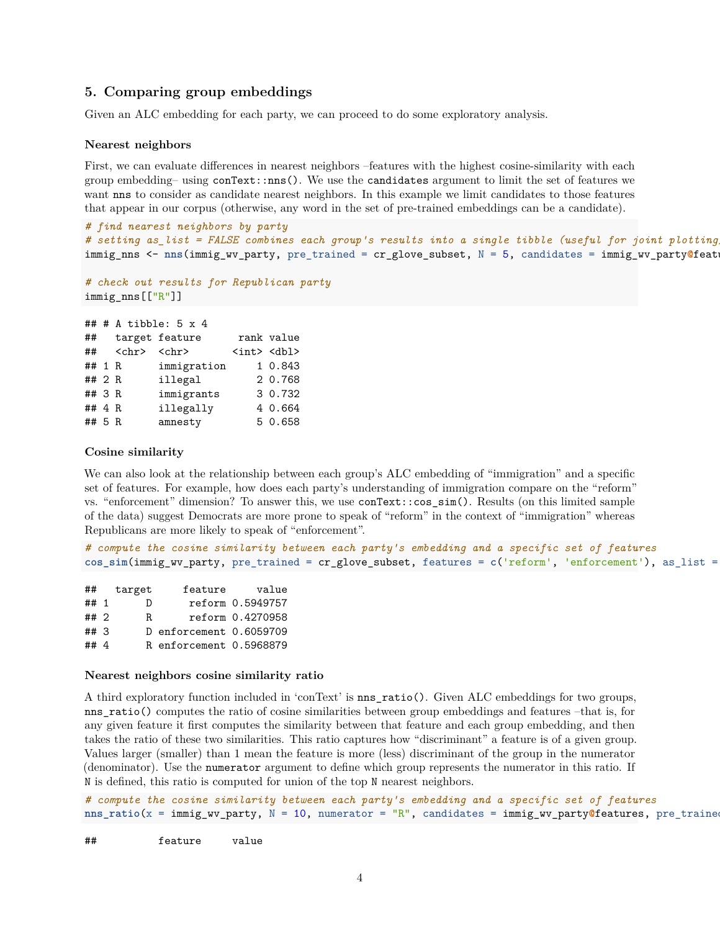### **5. Comparing group embeddings**

Given an ALC embedding for each party, we can proceed to do some exploratory analysis.

#### **Nearest neighbors**

First, we can evaluate differences in nearest neighbors –features with the highest cosine-similarity with each group embedding– using conText::nns(). We use the candidates argument to limit the set of features we want nns to consider as candidate nearest neighbors. In this example we limit candidates to those features that appear in our corpus (otherwise, any word in the set of pre-trained embeddings can be a candidate).

```
# find nearest neighbors by party
# setting as_list = FALSE combines each group's results into a single tibble (useful for joint plotting)
immig_nns <- nns(immig_wv_party, pre_trained = cr_glove_subset, N = 5, candidates = immig_wv party@feat
```

```
# check out results for Republican party
immig_nns[["R"]]
```

```
## # A tibble: 5 x 4
    target feature rank value
```

| $\bm{\pi}\bm{\pi}$ |                         | talget reature |                                                          | rama varue |
|--------------------|-------------------------|----------------|----------------------------------------------------------|------------|
| ##                 | <chr> <chr></chr></chr> |                | $\langle \text{int} \rangle$ $\langle \text{db} \rangle$ |            |
| ## 1 R             |                         | immigration    |                                                          | 1 0.843    |
| ## 2 R             |                         | illegal        |                                                          | 2 0.768    |
| ## 3 R             |                         | immigrants     |                                                          | 3 0.732    |
| ## 4 R             |                         | illegally      |                                                          | 4 0.664    |
| ## 5 R             |                         | amnesty        |                                                          | 50.658     |

#### **Cosine similarity**

We can also look at the relationship between each group's ALC embedding of "immigration" and a specific set of features. For example, how does each party's understanding of immigration compare on the "reform" vs. "enforcement" dimension? To answer this, we use conText::cos\_sim(). Results (on this limited sample of the data) suggest Democrats are more prone to speak of "reform" in the context of "immigration" whereas Republicans are more likely to speak of "enforcement".

```
# compute the cosine similarity between each party's embedding and a specific set of features
cos_sim(immig_wv_party, pre_trained = cr_glove_subset, features = c('reform', 'enforcement'), as_list =
```

| target                                   | feature | value                                              |
|------------------------------------------|---------|----------------------------------------------------|
| Ð                                        |         | reform 0.5949757                                   |
| R.                                       |         | reform 0.4270958                                   |
|                                          |         |                                                    |
|                                          |         |                                                    |
| ##<br>## $1$<br>$##$ 2<br>$##$ 3<br>## 4 |         | D enforcement 0.6059709<br>R enforcement 0.5968879 |

#### **Nearest neighbors cosine similarity ratio**

A third exploratory function included in 'conText' is nns\_ratio(). Given ALC embeddings for two groups, nns\_ratio() computes the ratio of cosine similarities between group embeddings and features –that is, for any given feature it first computes the similarity between that feature and each group embedding, and then takes the ratio of these two similarities. This ratio captures how "discriminant" a feature is of a given group. Values larger (smaller) than 1 mean the feature is more (less) discriminant of the group in the numerator (denominator). Use the numerator argument to define which group represents the numerator in this ratio. If N is defined, this ratio is computed for union of the top N nearest neighbors.

```
# compute the cosine similarity between each party's embedding and a specific set of features
nns_ratio(x = immig_wv_party, N = 10, numerator = "R", candidates = immig_wv_party@features, pre_traine
```
## feature value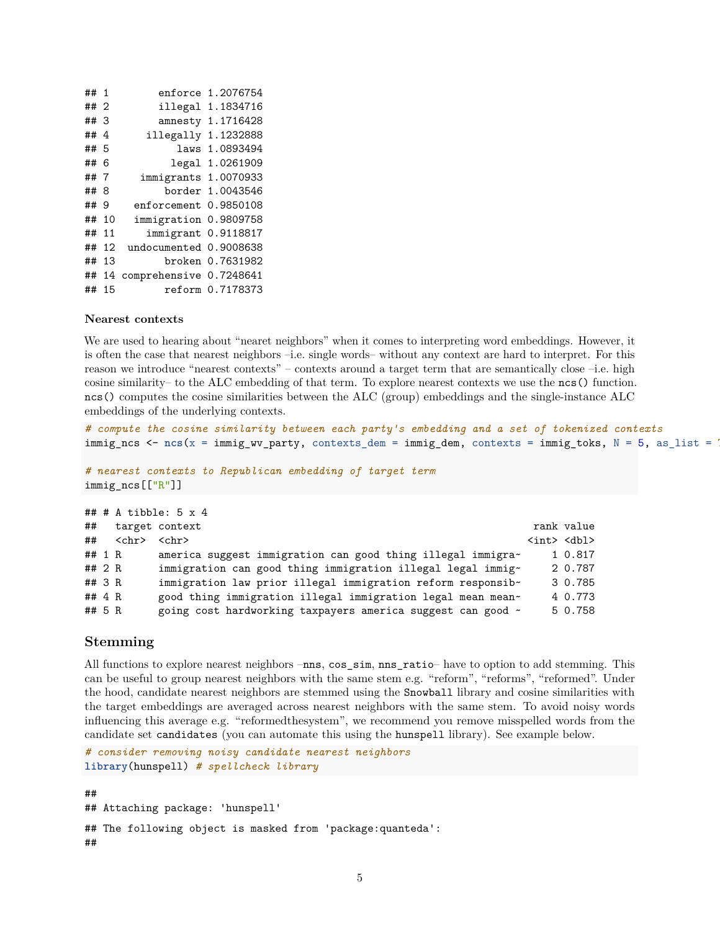| ## 1 |       |                         | enforce 1.2076754   |
|------|-------|-------------------------|---------------------|
| ## 2 |       |                         | illegal 1.1834716   |
| ##3  |       |                         | amnesty 1.1716428   |
| ##4  |       |                         | illegally 1.1232888 |
| ## 5 |       |                         | laws 1.0893494      |
| ## 6 |       |                         | legal 1.0261909     |
| ##7  |       | immigrants 1.0070933    |                     |
| ##   | 8     |                         | border 1.0043546    |
| ## 9 |       | enforcement 0.9850108   |                     |
|      | ## 10 | immigration 0.9809758   |                     |
| ##   | 11    | immigrant 0.9118817     |                     |
| ##   | 12    | undocumented 0.9008638  |                     |
| ##   | 13    |                         | broken 0.7631982    |
|      | ## 14 | comprehensive 0.7248641 |                     |
| ##   | 15    |                         | reform 0.7178373    |

#### **Nearest contexts**

We are used to hearing about "nearet neighbors" when it comes to interpreting word embeddings. However, it is often the case that nearest neighbors –i.e. single words– without any context are hard to interpret. For this reason we introduce "nearest contexts" – contexts around a target term that are semantically close –i.e. high cosine similarity– to the ALC embedding of that term. To explore nearest contexts we use the ncs() function. ncs() computes the cosine similarities between the ALC (group) embeddings and the single-instance ALC embeddings of the underlying contexts.

```
# compute the cosine similarity between each party's embedding and a set of tokenized contexts
imming\_ncs <- ncs(x = immig\_wv\_party, contexts\_dem = immig\_dem, contexts = immig\_toks, N = 5, as\_list = 7
```

```
# nearest contexts to Republican embedding of target term
immig_ncs[["R"]]
```

|        |             | ## # A tibble: 5 $\times$ 4                                 |                                                           |
|--------|-------------|-------------------------------------------------------------|-----------------------------------------------------------|
| ##     |             | target context                                              | rank value                                                |
| ##     | <chr></chr> | $\langle chr \rangle$                                       | $\langle \text{int} \rangle$ $\langle \text{dbl} \rangle$ |
| ## 1 R |             | america suggest immigration can good thing illegal immigra- | 1 0.817                                                   |
| ## 2 R |             | immigration can good thing immigration illegal legal immig~ | 2 0.787                                                   |
| ## 3 R |             | immigration law prior illegal immigration reform responsib- | 3 0.785                                                   |
| ## 4 R |             | good thing immigration illegal immigration legal mean mean~ | 4 0.773                                                   |
| ## 5 R |             | going cost hardworking taxpayers america suggest can good ~ | 5 0.758                                                   |

#### **Stemming**

All functions to explore nearest neighbors –nns, cos\_sim, nns\_ratio– have to option to add stemming. This can be useful to group nearest neighbors with the same stem e.g. "reform", "reforms", "reformed". Under the hood, candidate nearest neighbors are stemmed using the Snowball library and cosine similarities with the target embeddings are averaged across nearest neighbors with the same stem. To avoid noisy words influencing this average e.g. "reformedthesystem", we recommend you remove misspelled words from the candidate set candidates (you can automate this using the hunspell library). See example below.

```
# consider removing noisy candidate nearest neighbors
library(hunspell) # spellcheck library
```

```
##
## Attaching package: 'hunspell'
## The following object is masked from 'package:quanteda':
##
```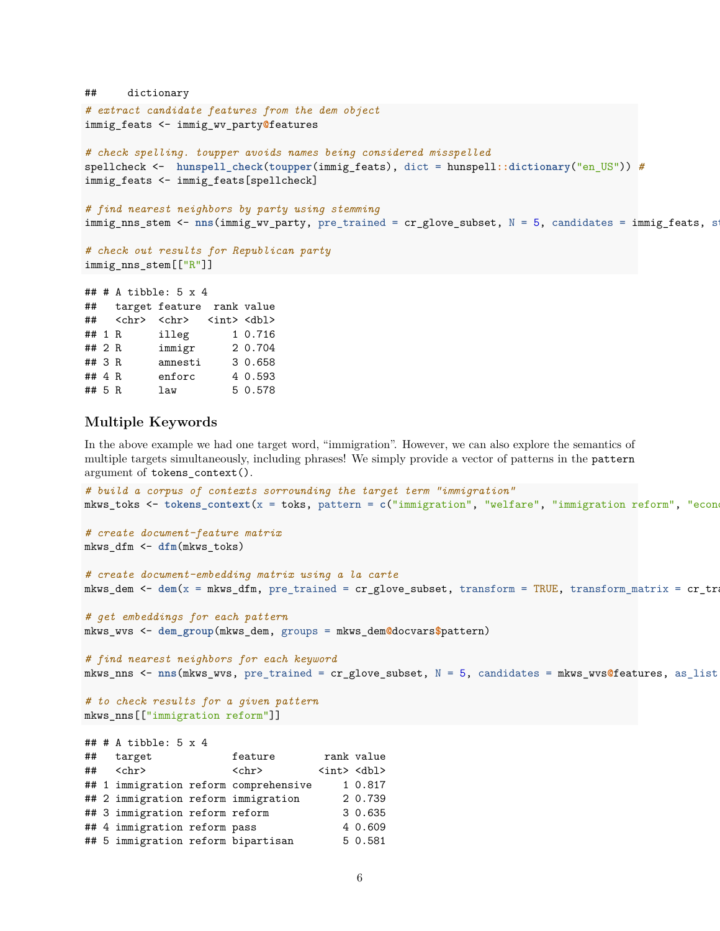```
## dictionary
# extract candidate features from the dem object
immig_feats <- immig_wv_party@features
# check spelling. toupper avoids names being considered misspelled
spellcheck <- hunspell_check(toupper(immig_feats), dict = hunspell::dictionary("en_US")) #
immig_feats <- immig_feats[spellcheck]
# find nearest neighbors by party using stemming
immig_nns_stem <- nns(immig_wv_party, pre\_trained = cr_glove_subset, N = 5, candidates = immig_feats, s
# check out results for Republican party
immig_nns_stem[["R"]]
## # A tibble: 5 x 4
## target feature rank value
```

| ##     | $<$ chr $>$ | <chr></chr> | $\langle \text{int} \rangle$ $\langle \text{dbl} \rangle$ |
|--------|-------------|-------------|-----------------------------------------------------------|
| ## 1 R |             | illeg       | 1 0.716                                                   |
| ## 2 R |             | immigr      | 2 0.704                                                   |
| ## 3 R |             | amnesti     | 3 0.658                                                   |
| ## 4 R |             | enforc      | 4 0.593                                                   |
| ## 5 R |             | law         | 5 0.578                                                   |

#### **Multiple Keywords**

In the above example we had one target word, "immigration". However, we can also explore the semantics of multiple targets simultaneously, including phrases! We simply provide a vector of patterns in the pattern argument of tokens\_context().

```
# build a corpus of contexts sorrounding the target term "immigration"
mkws_toks <- tokens_context(x = toks, pattern = c("immigration", "welfare", "immigration reform", "economie
# create document-feature matrix
mkws_dfm <- dfm(mkws_toks)
# create document-embedding matrix using a la carte
mkws_dem <- dem(x = mkws_dfm, pre_trained = cr_glove_subset, transform = TRUE, transform_matrix = cr_tr
# get embeddings for each pattern
mkws_wvs <- dem_group(mkws_dem, groups = mkws_dem@docvars$pattern)
# find nearest neighbors for each keyword
mkws_nns <- nns(mkws_wvs, pre_trained = cr_glove_subset, N = 5, candidates = mkws_wvs@features, as_list
# to check results for a given pattern
mkws_nns[["immigration reform"]]
## # A tibble: 5 x 4
## target feature rank value
```

| ## | target                              | feature                               | rank value                                               |
|----|-------------------------------------|---------------------------------------|----------------------------------------------------------|
| ## | $<$ chr $>$                         | $<$ chr $>$                           | $\langle \text{int} \rangle$ $\langle \text{db} \rangle$ |
|    |                                     | ## 1 immigration reform comprehensive | 1 0.817                                                  |
|    | ## 2 immigration reform immigration |                                       | 2 0.739                                                  |
|    | ## 3 immigration reform reform      |                                       | 3 0.635                                                  |
|    | ## 4 immigration reform pass        |                                       | 4 0.609                                                  |
|    | ## 5 immigration reform bipartisan  |                                       | 50.581                                                   |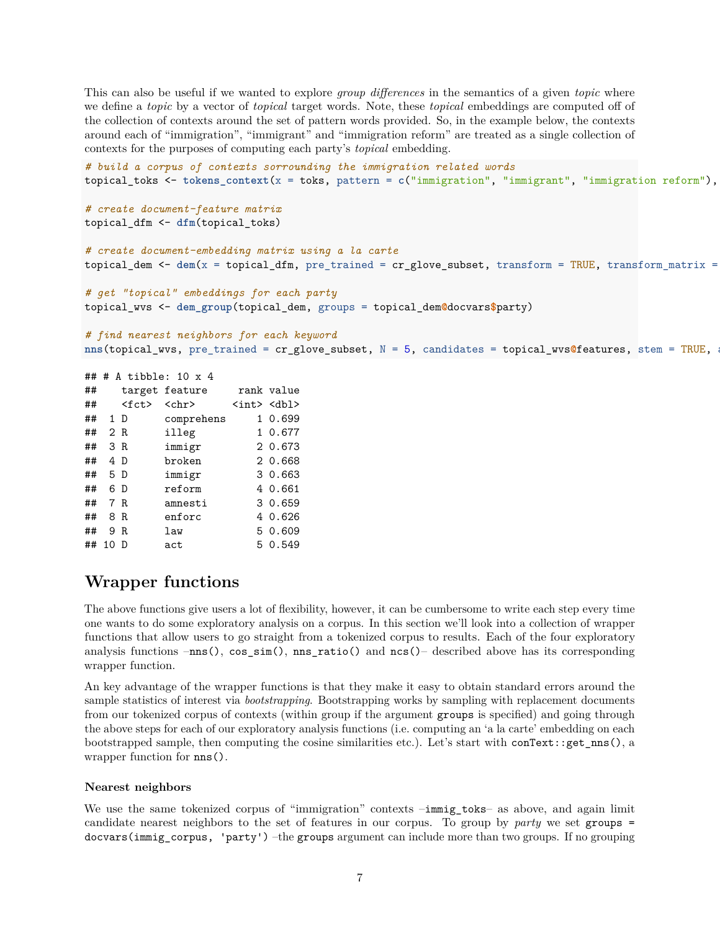This can also be useful if we wanted to explore *group differences* in the semantics of a given *topic* where we define a *topic* by a vector of *topical* target words. Note, these *topical* embeddings are computed off of the collection of contexts around the set of pattern words provided. So, in the example below, the contexts around each of "immigration", "immigrant" and "immigration reform" are treated as a single collection of contexts for the purposes of computing each party's *topical* embedding.

```
# build a corpus of contexts sorrounding the immigration related words
topical_toks <- tokens_context(x = toks, pattern = c("immigration", "immigrant", "immigration reform"),
# create document-feature matrix
topical_dfm <- dfm(topical_toks)
# create document-embedding matrix using a la carte
topical_dem <- dem(x = topical_dfm, pre_trained = cr_glove_subset, transform = TRUE, transform_matrix =
# get "topical" embeddings for each party
topical_wvs <- dem_group(topical_dem, groups = topical_dem@docvars$party)
# find nearest neighbors for each keyword
nns(topical_wvs, pre_trained = cr_glove_subset, N = 5, candidates = topical_wvs@features, stem = TRUE,
```
## # A tibble: 10 x 4 ## target feature rank value ## <fct> <chr> <int> <dbl> ## 1 D comprehens 1 0.699 ## 2 R illeg 1 0.677 ## 3 R immigr 2 0.673 ## 4 D broken 2 0.668 ## 5 D immigr 3 0.663 ## 6 D reform 4 0.661 ## 7 R amnesti 3 0.659 ## 8 R enforc 4 0.626 ## 9 R law 5 0.609 ## 10 D act 5 0.549

# **Wrapper functions**

The above functions give users a lot of flexibility, however, it can be cumbersome to write each step every time one wants to do some exploratory analysis on a corpus. In this section we'll look into a collection of wrapper functions that allow users to go straight from a tokenized corpus to results. Each of the four exploratory analysis functions  $-\text{nns}$  (),  $\cos_5\text{sin}$  (),  $\text{nns\_ratio}$  and  $\text{ncs}$  ()– described above has its corresponding wrapper function.

An key advantage of the wrapper functions is that they make it easy to obtain standard errors around the sample statistics of interest via *bootstrapping*. Bootstrapping works by sampling with replacement documents from our tokenized corpus of contexts (within group if the argument groups is specified) and going through the above steps for each of our exploratory analysis functions (i.e. computing an 'a la carte' embedding on each bootstrapped sample, then computing the cosine similarities etc.). Let's start with conText::get\_nns(), a wrapper function for nns().

#### **Nearest neighbors**

We use the same tokenized corpus of "immigration" contexts  $-\text{immig\_toks}-$  as above, and again limit candidate nearest neighbors to the set of features in our corpus. To group by *party* we set groups = docvars(immig\_corpus, 'party') –the groups argument can include more than two groups. If no grouping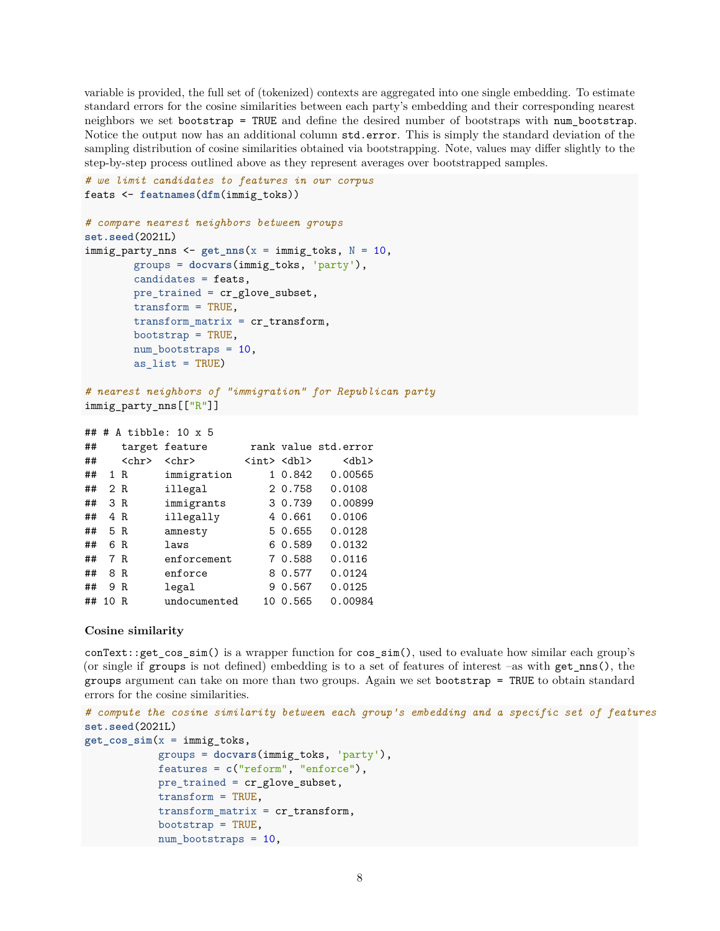variable is provided, the full set of (tokenized) contexts are aggregated into one single embedding. To estimate standard errors for the cosine similarities between each party's embedding and their corresponding nearest neighbors we set bootstrap = TRUE and define the desired number of bootstraps with num bootstrap. Notice the output now has an additional column std.error. This is simply the standard deviation of the sampling distribution of cosine similarities obtained via bootstrapping. Note, values may differ slightly to the step-by-step process outlined above as they represent averages over bootstrapped samples.

```
# we limit candidates to features in our corpus
feats <- featnames(dfm(immig_toks))
# compare nearest neighbors between groups
set.seed(2021L)
\text{immig-party\_nns} \leq \text{get\_nns}(x = \text{immig\_toks}, N = 10,
       groups = docvars(immig_toks, 'party'),
       candidates = feats,
      pre_trained = cr_glove_subset,
      transform = TRUE,
      transform_matrix = cr_transform,
      bootstrap = TRUE,
      num_bootstraps = 10,
      as list = TRUE)
# nearest neighbors of "immigration" for Republican party
immig_party_nns[["R"]]
## # A tibble: 10 x 5
## target feature rank value std.error
## <chr> <chr> <int> <dbl> <dbl>
## 1 R immigration 1 0.842 0.00565
## 2 R illegal 2 0.758 0.0108
## 3 R immigrants 3 0.739 0.00899
           illegally 4 0.661 0.0106
## 5 R amnesty 5 0.655 0.0128
## 6 R laws 6 0.589 0.0132
## 7 R enforcement 7 0.588 0.0116
## 8 R enforce 8 0.577 0.0124
## 9 R legal 9 0.567 0.0125
## 10 R undocumented 10 0.565 0.00984
```
#### **Cosine similarity**

conText::get\_cos\_sim() is a wrapper function for cos\_sim(), used to evaluate how similar each group's (or single if groups is not defined) embedding is to a set of features of interest –as with get\_nns(), the groups argument can take on more than two groups. Again we set bootstrap = TRUE to obtain standard errors for the cosine similarities.

```
# compute the cosine similarity between each group's embedding and a specific set of features
set.seed(2021L)
get_cos_sim(x = immig_toks,
            groups = docvars(immig_toks, 'party'),
            features = c("reform", "enforce"),
            pre_trained = cr_glove_subset,
            transform = TRUE,
            transform_matrix = cr_transform,
            bootstrap = TRUE,
            num_bootstraps = 10,
```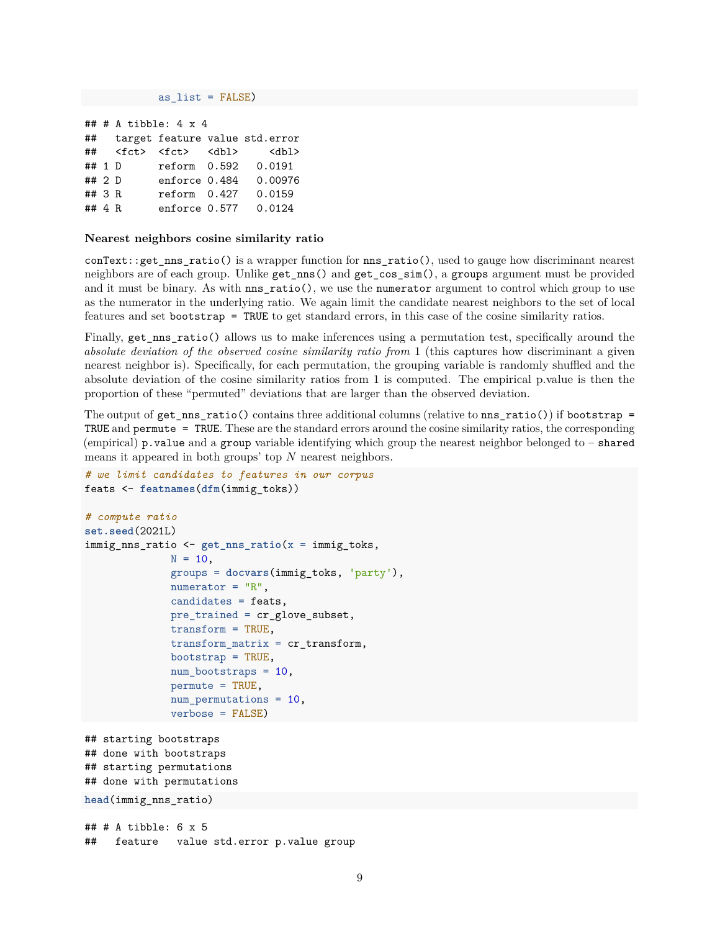$as\_list = FALSE)$ 

|          |  | ## # A tibble: $4 \times 4$            |                                   |
|----------|--|----------------------------------------|-----------------------------------|
|          |  |                                        | ## target feature value std.error |
|          |  | ## <fct> <fct> <dbl></dbl></fct></fct> | $<$ dbl $>$                       |
| ## 1 D   |  |                                        | reform 0.592 0.0191               |
| ## 2 D   |  | enforce 0.484                          | 0.00976                           |
| ## 3 R   |  | reform 0.427                           | 0.0159                            |
| ## $4 R$ |  | enforce 0.577                          | 0.0124                            |

#### **Nearest neighbors cosine similarity ratio**

conText::get\_nns\_ratio() is a wrapper function for nns\_ratio(), used to gauge how discriminant nearest neighbors are of each group. Unlike get\_nns() and get\_cos\_sim(), a groups argument must be provided and it must be binary. As with  $nns$  ratio(), we use the numerator argument to control which group to use as the numerator in the underlying ratio. We again limit the candidate nearest neighbors to the set of local features and set bootstrap = TRUE to get standard errors, in this case of the cosine similarity ratios.

Finally, get nns ratio() allows us to make inferences using a permutation test, specifically around the *absolute deviation of the observed cosine similarity ratio from* 1 (this captures how discriminant a given nearest neighbor is). Specifically, for each permutation, the grouping variable is randomly shuffled and the absolute deviation of the cosine similarity ratios from 1 is computed. The empirical p.value is then the proportion of these "permuted" deviations that are larger than the observed deviation.

The output of get\_nns\_ratio() contains three additional columns (relative to nns\_ratio()) if bootstrap = TRUE and permute = TRUE. These are the standard errors around the cosine similarity ratios, the corresponding (empirical)  $p$  value and a group variable identifying which group the nearest neighbor belonged to – shared means it appeared in both groups' top *N* nearest neighbors.

```
# we limit candidates to features in our corpus
feats <- featnames(dfm(immig_toks))
# compute ratio
set.seed(2021L)
immig_nns_ratio <- get_nns_ratio(x = immig_toks,
              N = 10.
              groups = docvars(immig_toks, 'party'),
              numerator = "R",candidates = feats,
              pre_trained = cr_glove_subset,
              transform = TRUE,
              transform_matrix = cr_transform,
              bootstrap = TRUE,
              num_bootstraps = 10,
              permute = TRUE,
              num_permutations = 10,
              verbose = FALSE)
## starting bootstraps
```

```
## done with bootstraps
## starting permutations
## done with permutations
```

```
head(immig_nns_ratio)
```
## # A tibble: 6 x 5 ## feature value std.error p.value group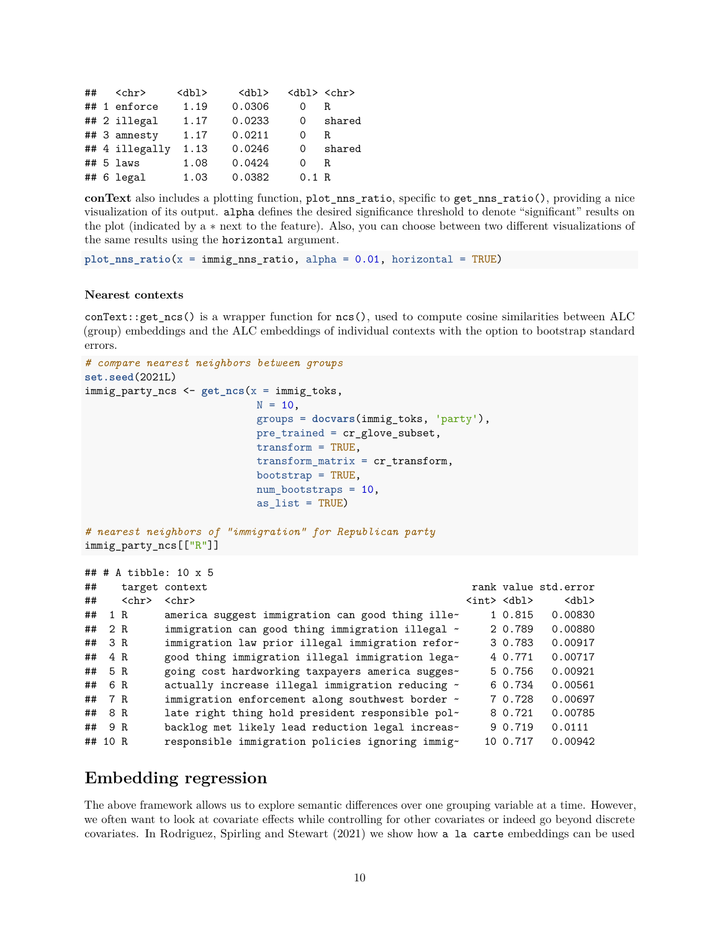| ## | $<$ chr $>$    | db1  | db1>   | $db1 chr$ |        |
|----|----------------|------|--------|-----------|--------|
|    | ## 1 enforce   | 1.19 | 0.0306 | Ω         | R.     |
|    | ## 2 illegal   | 1.17 | 0.0233 | 0         | shared |
|    | ## 3 amnesty   | 1.17 | 0.0211 | Ω         | R.     |
|    | ## 4 illegally | 1.13 | 0.0246 | 0         | shared |
|    | $## 5$ laws    | 1.08 | 0.0424 | Ω         | R.     |
|    | ## 6 legal     | 1.03 | 0.0382 | 0.1 R     |        |

**conText** also includes a plotting function, plot\_nns\_ratio, specific to get\_nns\_ratio(), providing a nice visualization of its output. alpha defines the desired significance threshold to denote "significant" results on the plot (indicated by a ∗ next to the feature). Also, you can choose between two different visualizations of the same results using the horizontal argument.

**plot\_nns\_ratio**(x = immig\_nns\_ratio, alpha = 0.01, horizontal = TRUE)

#### **Nearest contexts**

conText::get\_ncs() is a wrapper function for ncs(), used to compute cosine similarities between ALC (group) embeddings and the ALC embeddings of individual contexts with the option to bootstrap standard errors.

```
# compare nearest neighbors between groups
set.seed(2021L)
immig_party_ncs <- get_ncs(x = immig_toks,
                            N = 10,
                            groups = docvars(immig_toks, 'party'),
                            pre_trained = cr_glove_subset,
                            transform = TRUE,
                            transform_matrix = cr_transform,
                            bootstrap = TRUE,
                            num_bootstraps = 10,
                            as\_list = TRUE)
# nearest neighbors of "immigration" for Republican party
immig party ncs[["R"]]
```

|          |     |             | ## # A tibble: $10 \times 5$                     |                                                          |          |                      |
|----------|-----|-------------|--------------------------------------------------|----------------------------------------------------------|----------|----------------------|
| ##       |     |             | target context                                   |                                                          |          | rank value std.error |
| ##       |     | <chr></chr> | $\langle chr \rangle$                            | $\langle \text{int} \rangle$ $\langle \text{db} \rangle$ |          | $<$ dbl $>$          |
| ## 1 R   |     |             | america suggest immigration can good thing ille- |                                                          | 1 0.815  | 0.00830              |
| ##       | 2 R |             | immigration can good thing immigration illegal ~ |                                                          | 2 0.789  | 0.00880              |
| $##$ 3 R |     |             | immigration law prior illegal immigration refor- |                                                          | 3 0.783  | 0.00917              |
| $##$ 4 R |     |             | good thing immigration illegal immigration lega~ |                                                          | 4 0.771  | 0.00717              |
| ## 5 R   |     |             | going cost hardworking taxpayers america sugges~ |                                                          | 5 0.756  | 0.00921              |
| ## 6 R   |     |             | actually increase illegal immigration reducing ~ |                                                          | 6 0.734  | 0.00561              |
| ## 7 R   |     |             | immigration enforcement along southwest border ~ |                                                          | 7 0.728  | 0.00697              |
| ##       | 8 R |             | late right thing hold president responsible pol- |                                                          | 8 0.721  | 0.00785              |
| $##$ 9 R |     |             | backlog met likely lead reduction legal increas~ |                                                          | 9 0.719  | 0.0111               |
| ## 10 R  |     |             | responsible immigration policies ignoring immig~ |                                                          | 10 0.717 | 0.00942              |

# **Embedding regression**

The above framework allows us to explore semantic differences over one grouping variable at a time. However, we often want to look at covariate effects while controlling for other covariates or indeed go beyond discrete covariates. In [Rodriguez, Spirling and Stewart \(2021\)](https://github.com/prodriguezsosa/EmbeddingRegression) we show how a la carte embeddings can be used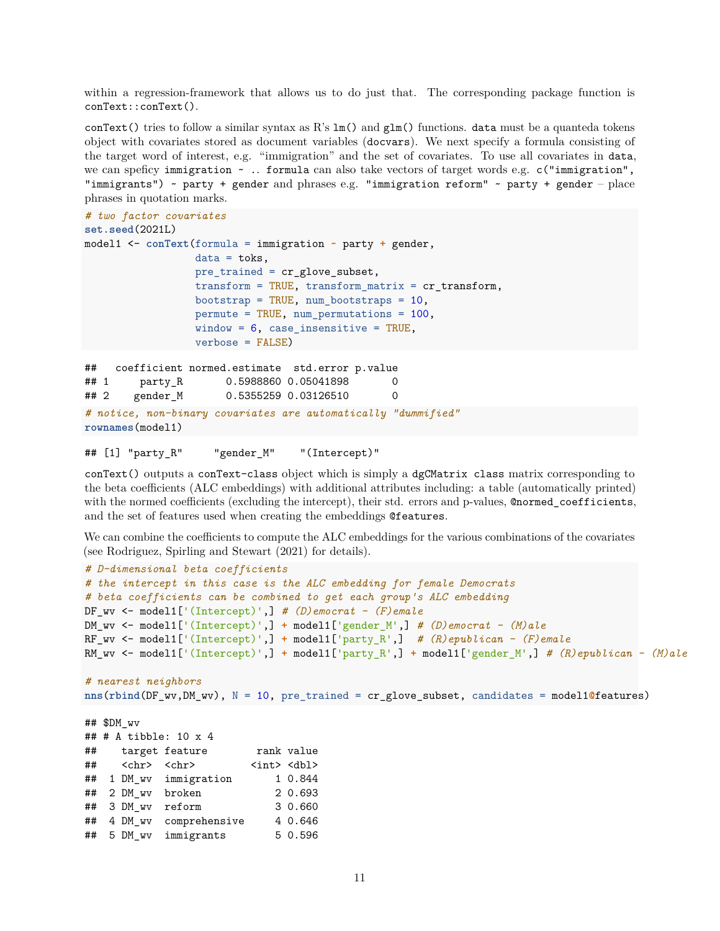within a regression-framework that allows us to do just that. The corresponding package function is conText::conText().

conText() tries to follow a similar syntax as  $R$ 's  $lm()$  and  $glm()$  functions. data must be a quanteda tokens object with covariates stored as document variables (docvars). We next specify a formula consisting of the target word of interest, e.g. "immigration" and the set of covariates. To use all covariates in data, we can speficy immigration  $\sim$  .. formula can also take vectors of target words e.g.  $c$  ("immigration", "immigrants") ~ party + gender and phrases e.g. "immigration reform" ~ party + gender – place phrases in quotation marks.

```
# two factor covariates
set.seed(2021L)
model1 <- conText(formula = immigration ~ party + gender,
                data = toks,pre_trained = cr_glove_subset,
                 transform = TRUE, transform_matrix = cr_transform,
                 bootstrap = TRUE, num\_bootstrap = 10,
                 permute = TRUE, num_permutations = 100,
                 window = 6, case_insensitive = TRUE,
                 verbose = FALSE)
## coefficient normed.estimate std.error p.value
## 1 party_R 0.5988860 0.05041898 0
## 2 gender M 0.5355259 0.03126510 0
# notice, non-binary covariates are automatically "dummified"
```

```
rownames(model1)
```
## [1] "party\_R" "gender\_M" "(Intercept)"

conText() outputs a conText-class object which is simply a dgCMatrix class matrix corresponding to the beta coefficients (ALC embeddings) with additional attributes including: a table (automatically printed) with the normed coefficients (excluding the intercept), their std. errors and p-values, @normed\_coefficients, and the set of features used when creating the embeddings @features.

We can combine the coefficients to compute the ALC embeddings for the various combinations of the covariates (see [Rodriguez, Spirling and Stewart \(2021\)](https://github.com/prodriguezsosa/EmbeddingRegression) for details).

```
# D-dimensional beta coefficients
# the intercept in this case is the ALC embedding for female Democrats
# beta coefficients can be combined to get each group's ALC embedding
DF_wv <- model1['(Intercept)',] # (D)emocrat - (F)emale
DM_wv <- model1['(Intercept)',] + model1['gender_M',] # (D)emocrat - (M)ale
RF_wv <- model1['(Intercept)',] + model1['party_R',] # (R)epublican - (F)emale
RM_wv <- model1['(Intercept)',] + model1['party_R',] + model1['gender_M',] # (R)epublican - (M)ale
# nearest neighbors
nns(rbind(DF_wv,DM_wv), N = 10, pre_trained = cr_glove_subset, candidates = model1@features)
## $DM_wv
## # A tibble: 10 x 4
## target feature rank value
## <chr> <chr> <int> <dbl>
## 1 DM_wv immigration 1 0.844
## 2 DM_wv broken 2 0.693
## 3 DM_wv reform 3 0.660
## 4 DM_wv comprehensive 4 0.646
## 5 DM_wv immigrants 5 0.596
```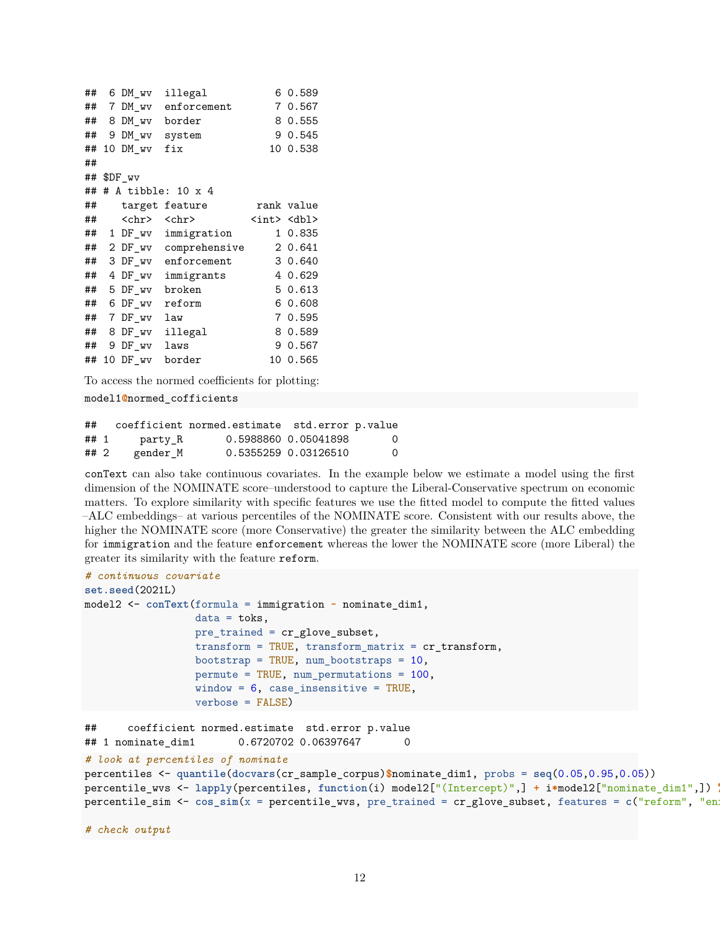## 6 DM\_wv illegal 6 0.589 ## 7 DM wv enforcement 7 0.567 ## 8 DM\_wv border 8 0.555 ## 9 DM\_wv system 9 0.545 ## 10 DM\_wv fix 10 0.538 ## ## \$DF\_wv ## # A tibble: 10 x 4 ## target feature rank value ## <chr> <chr> <int> <dbl> ## 1 DF\_wv immigration 1 0.835 ## 2 DF\_wv comprehensive 2 0.641 ## 3 DF\_wv enforcement 3 0.640 ## 4 DF\_wv immigrants 4 0.629 ## 5 DF\_wv broken 5 0.613 ## 6 DF\_wv reform 6 0.608 ## 7 DF\_wv law 7 0.595 ## 8 DF\_wv illegal 8 0.589 ## 9 DF\_wv laws 9 0.567 ## 10 DF\_wv border 10 0.565

To access the normed coefficients for plotting:

```
model1@normed_cofficients
```

```
## coefficient normed.estimate std.error p.value
## 1 party_R 0.5988860 0.05041898 0
## 2 gender_M 0.5355259 0.03126510 0
```
conText can also take continuous covariates. In the example below we estimate a model using the first dimension of the NOMINATE score–understood to capture the Liberal-Conservative spectrum on economic matters. To explore similarity with specific features we use the fitted model to compute the fitted values –ALC embeddings– at various percentiles of the NOMINATE score. Consistent with our results above, the higher the NOMINATE score (more Conservative) the greater the similarity between the ALC embedding for immigration and the feature enforcement whereas the lower the NOMINATE score (more Liberal) the greater its similarity with the feature reform.

```
# continuous covariate
set.seed(2021L)
model2 <- conText(formula = immigration ~ nominate_dim1,
                  data = toks,
                  pre_trained = cr_glove_subset,
                  transform = TRUE, transform_matrix = cr_transform,
                  bootstrap = TRUE, num\_bootstrap = 10,
                  permute = TRUE, num_permutations = 100,
                  window = 6, case insensitive = TRUE,
                  verbose = FALSE)
```
## coefficient normed.estimate std.error p.value ## 1 nominate\_dim1 0.6720702 0.06397647 0

```
# look at percentiles of nominate
```

```
percentiles <- quantile(docvars(cr_sample_corpus)$nominate_dim1, probs = seq(0.05,0.95,0.05))
percentile_wvs <- lapply(percentiles, function(i) model2["(Intercept)",] + i*model2["nominate_dim1",]) b.
percentile_sim <- \cos\sin(x) = \text{percentile\_wvs}, \text{pre\_trained} = \text{cr\_glove\_subset}, features = \text{c("reform", "en"})
```
*# check output*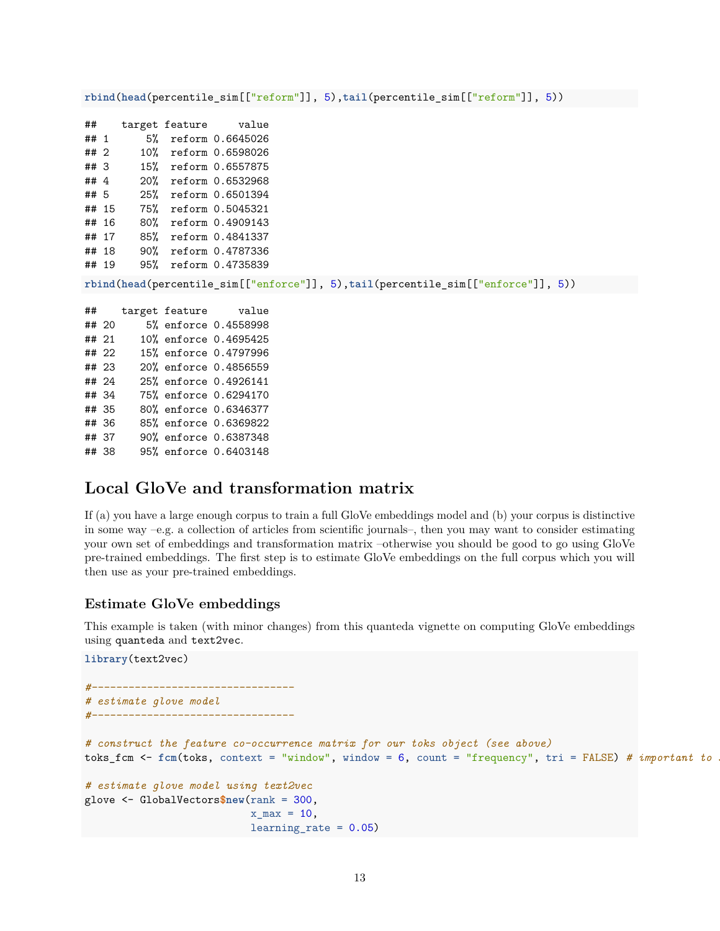```
rbind(head(percentile_sim[["reform"]], 5),tail(percentile_sim[["reform"]], 5))
## target feature value
## 1 5% reform 0.6645026
## 2 10% reform 0.6598026
## 3 15% reform 0.6557875
## 4 20% reform 0.6532968
## 5 25% reform 0.6501394
## 15 75% reform 0.5045321
## 16 80% reform 0.4909143
## 17 85% reform 0.4841337
## 18 90% reform 0.4787336
## 19 95% reform 0.4735839
rbind(head(percentile_sim[["enforce"]], 5),tail(percentile_sim[["enforce"]], 5))
## target feature value
## 20 5% enforce 0.4558998
## 21 10% enforce 0.4695425
## 22 15% enforce 0.4797996
## 23 20% enforce 0.4856559
## 24 25% enforce 0.4926141
## 34 75% enforce 0.6294170
## 35 80% enforce 0.6346377
## 36 85% enforce 0.6369822
## 37 90% enforce 0.6387348
## 38 95% enforce 0.6403148
```
# **Local GloVe and transformation matrix**

If (a) you have a large enough corpus to train a full GloVe embeddings model and (b) your corpus is distinctive in some way –e.g. a collection of articles from scientific journals–, then you may want to consider estimating your own set of embeddings and transformation matrix –otherwise you should be good to go using GloVe pre-trained embeddings. The first step is to estimate GloVe embeddings on the full corpus which you will then use as your pre-trained embeddings.

### **Estimate GloVe embeddings**

This example is taken (with minor changes) from [this quanteda vignette](https://quanteda.io/articles/pkgdown/replication/text2vec.html) on computing GloVe embeddings using quanteda and text2vec.

```
library(text2vec)
#---------------------------------
# estimate glove model
#---------------------------------
# construct the feature co-occurrence matrix for our toks object (see above)
toks_fcm <- fcm(toks, context = "window", window = 6, count = "frequency", tri = FALSE) # important to# estimate glove model using text2vec
glove <- GlobalVectors$new(rank = 300,
                            x_max = 10,
                            learning_rate = 0.05
```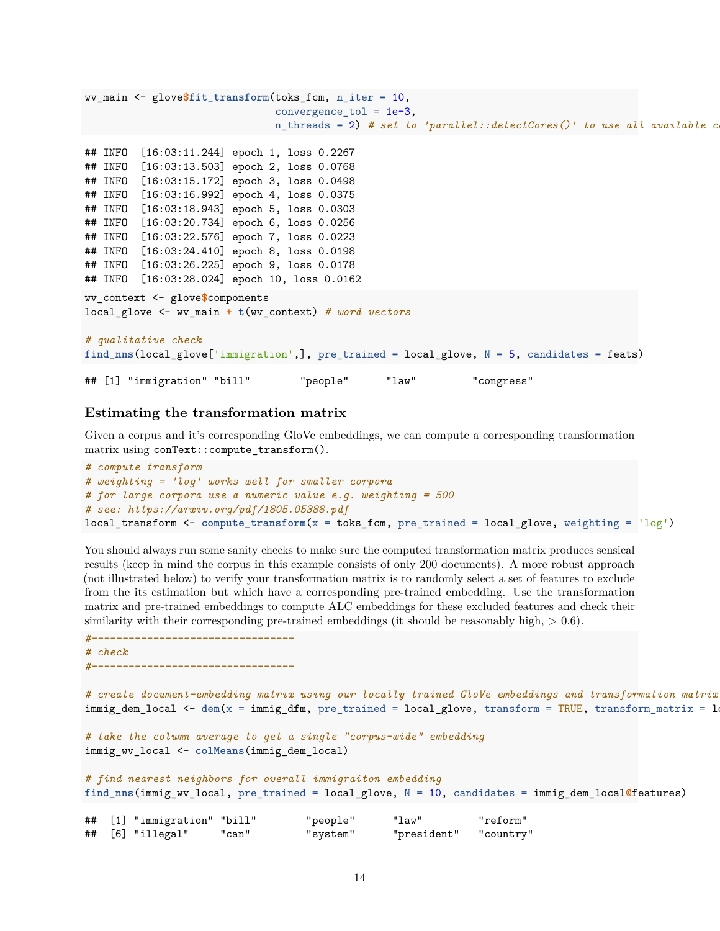```
wv_main <- glove$fit_transform(toks_fcm, n_iter = 10,
                              convergence_tol = 1e-3,
                              n_threads = 2) # set to 'parallel::detectCores()' to use all available cores
## INFO [16:03:11.244] epoch 1, loss 0.2267
## INFO [16:03:13.503] epoch 2, loss 0.0768
## INFO [16:03:15.172] epoch 3, loss 0.0498
## INFO [16:03:16.992] epoch 4, loss 0.0375
## INFO [16:03:18.943] epoch 5, loss 0.0303
## INFO [16:03:20.734] epoch 6, loss 0.0256
## INFO [16:03:22.576] epoch 7, loss 0.0223
## INFO [16:03:24.410] epoch 8, loss 0.0198
## INFO [16:03:26.225] epoch 9, loss 0.0178
## INFO [16:03:28.024] epoch 10, loss 0.0162
wv_context <- glove$components
local_glove <- wv_main + t(wv_context) # word vectors
# qualitative check
find_nns(local_glove['immigration',], pre_trained = local_glove, N = 5, candidates = feats)
## [1] "immigration" "bill" "people" "law" "congress"
```
## **Estimating the transformation matrix**

Given a corpus and it's corresponding GloVe embeddings, we can compute a corresponding transformation matrix using conText:: compute transform().

```
# compute transform
# weighting = 'log' works well for smaller corpora
# for large corpora use a numeric value e.g. weighting = 500
# see: https://arxiv.org/pdf/1805.05388.pdf
local_transform <- compute_transform(x = toks_fcm, pre_trained = local_glove, weighting = 'log')
```
You should always run some sanity checks to make sure the computed transformation matrix produces sensical results (keep in mind the corpus in this example consists of only 200 documents). A more robust approach (not illustrated below) to verify your transformation matrix is to randomly select a set of features to exclude from the its estimation but which have a corresponding pre-trained embedding. Use the transformation matrix and pre-trained embeddings to compute ALC embeddings for these excluded features and check their similarity with their corresponding pre-trained embeddings (it should be reasonably high,  $> 0.6$ ).

*#--------------------------------- # check #---------------------------------*

*# create document-embedding matrix using our locally trained GloVe embeddings and transformation matrix*  $immig_{\text{dem}}$ local  $\leq$   $\text{dem}(x = immig_{\text{dm}}, pre_{\text{trained}} = local_{\text{gl}})$  transform = TRUE, transform matrix = 1

```
# take the column average to get a single "corpus-wide" embedding
immig_wv_local <- colMeans(immig_dem_local)
```

```
# find nearest neighbors for overall immigraiton embedding
find_nns(immig_wv_local, pre_trained = local_glove, N = 10, candidates = immig_dem_local@features)
```

|  | ## [1] "immigration" "bill" |       | "people" | "law"       | "reform"  |
|--|-----------------------------|-------|----------|-------------|-----------|
|  | ## [6] "illegal"            | "can" | "system" | "president" | "country" |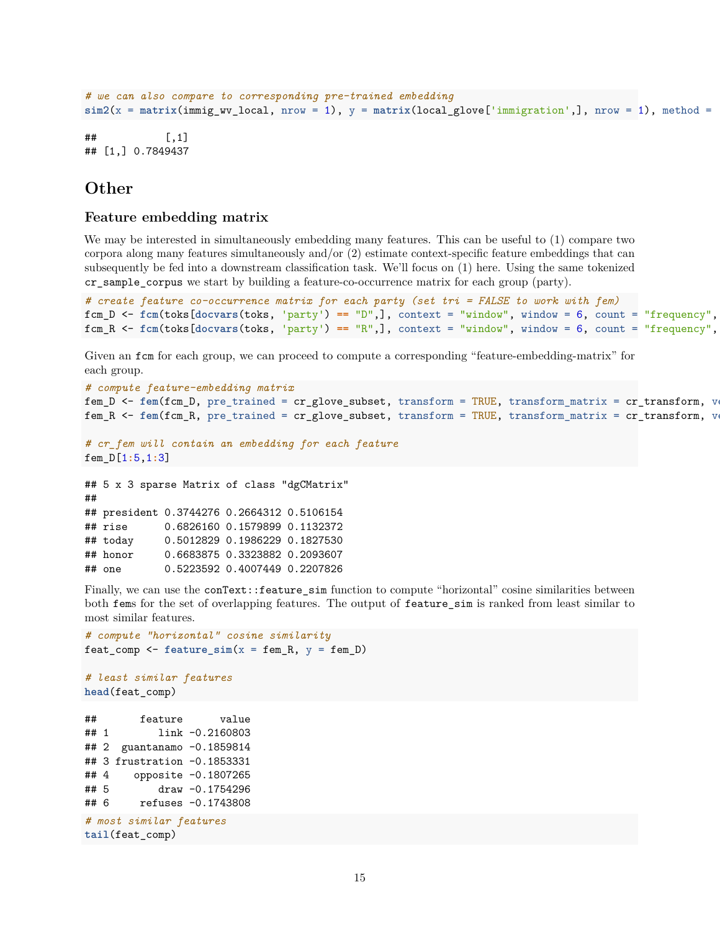```
# we can also compare to corresponding pre-trained embedding
\sin 2(x) = \frac{\pi}{x} (immig_wv_local, nrow = 1), y = \frac{\pi}{x} (local_glove['immigration',], nrow = 1), method =
```

```
## [,1]
## [1,] 0.7849437
```
# **Other**

### **Feature embedding matrix**

We may be interested in simultaneously embedding many features. This can be useful to (1) compare two corpora along many features simultaneously and/or  $(2)$  estimate context-specific feature embeddings that can subsequently be fed into a downstream classification task. We'll focus on (1) here. Using the same tokenized cr\_sample\_corpus we start by building a feature-co-occurrence matrix for each group (party).

```
# create feature co-occurrence matrix for each party (set tri = FALSE to work with fem)
fcm_D \leftarrow fcm(toks[docvars(toks, 'party') == 'D'',], context = 'window', window = 6, count = 'frequency',fcm_R < - fcm(toks[docvars(toks, 'party') == "R",], context = "window", window = 6, count = "frequency",
```
Given an fcm for each group, we can proceed to compute a corresponding "feature-embedding-matrix" for each group.

```
# compute feature-embedding matrix
fem_D <- fem(fcm_D, pre_trained = cr_glove_subset, transform = TRUE, transform_matrix = cr_transform, v
fem_R <- fem(fcm_R, pre_trained = cr_glove_subset, transform = TRUE, transform_matrix = cr_transform, v
# cr_fem will contain an embedding for each feature
fem_D[1:5,1:3]
## 5 x 3 sparse Matrix of class "dgCMatrix"
##
```
## president 0.3744276 0.2664312 0.5106154 ## rise 0.6826160 0.1579899 0.1132372 ## today 0.5012829 0.1986229 0.1827530 ## honor 0.6683875 0.3323882 0.2093607 ## one 0.5223592 0.4007449 0.2207826

Finally, we can use the conText::feature sim function to compute "horizontal" cosine similarities between both fems for the set of overlapping features. The output of feature\_sim is ranked from least similar to most similar features.

```
# compute "horizontal" cosine similarity
feat\_comp \leftarrow feature\_sim(x = fem_R, y = fem_D)
```

```
# least similar features
head(feat_comp)
```
## feature value ## 1 link -0.2160803 ## 2 guantanamo -0.1859814 ## 3 frustration -0.1853331 ## 4 opposite -0.1807265 ## 5 draw -0.1754296 ## 6 refuses -0.1743808 *# most similar features* **tail**(feat\_comp)